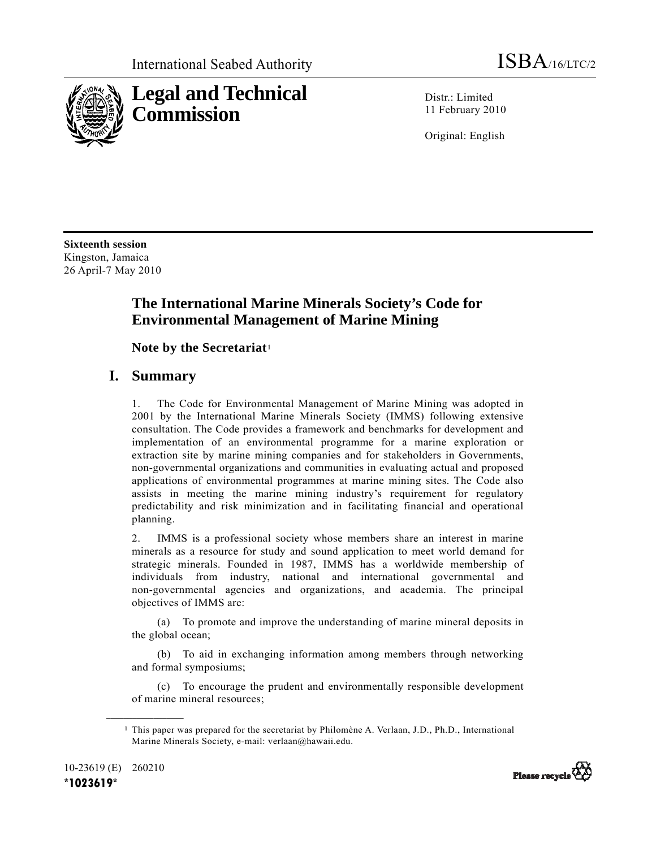

Distr · Limited 11 February 2010

Original: English

**Sixteenth session**  Kingston, Jamaica 26 April-7 May 2010

# **The International Marine Minerals Society's Code for Environmental Management of Marine Mining**

 **Note by the Secretariat**<sup>1</sup>

## **I. Summary**

1. The Code for Environmental Management of Marine Mining was adopted in 2001 by the International Marine Minerals Society (IMMS) following extensive consultation. The Code provides a framework and benchmarks for development and implementation of an environmental programme for a marine exploration or extraction site by marine mining companies and for stakeholders in Governments, non-governmental organizations and communities in evaluating actual and proposed applications of environmental programmes at marine mining sites. The Code also assists in meeting the marine mining industry's requirement for regulatory predictability and risk minimization and in facilitating financial and operational planning.

2. IMMS is a professional society whose members share an interest in marine minerals as a resource for study and sound application to meet world demand for strategic minerals. Founded in 1987, IMMS has a worldwide membership of individuals from industry, national and international governmental and non-governmental agencies and organizations, and academia. The principal objectives of IMMS are:

 (a) To promote and improve the understanding of marine mineral deposits in the global ocean;

 (b) To aid in exchanging information among members through networking and formal symposiums;

 (c) To encourage the prudent and environmentally responsible development of marine mineral resources;

**\_\_\_\_\_\_\_\_\_\_\_\_\_\_\_\_\_\_** 



<sup>1</sup> This paper was prepared for the secretariat by Philomène A. Verlaan, J.D., Ph.D., International Marine Minerals Society, e-mail: verlaan@hawaii.edu.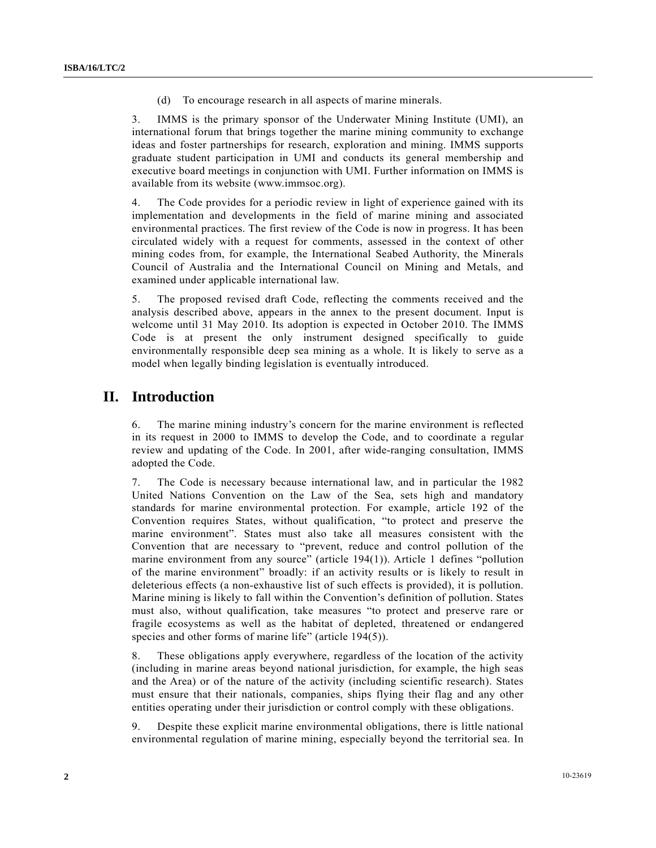(d) To encourage research in all aspects of marine minerals.

3. IMMS is the primary sponsor of the Underwater Mining Institute (UMI), an international forum that brings together the marine mining community to exchange ideas and foster partnerships for research, exploration and mining. IMMS supports graduate student participation in UMI and conducts its general membership and executive board meetings in conjunction with UMI. Further information on IMMS is available from its website (www.immsoc.org).

4. The Code provides for a periodic review in light of experience gained with its implementation and developments in the field of marine mining and associated environmental practices. The first review of the Code is now in progress. It has been circulated widely with a request for comments, assessed in the context of other mining codes from, for example, the International Seabed Authority, the Minerals Council of Australia and the International Council on Mining and Metals, and examined under applicable international law.

5. The proposed revised draft Code, reflecting the comments received and the analysis described above, appears in the annex to the present document. Input is welcome until 31 May 2010. Its adoption is expected in October 2010. The IMMS Code is at present the only instrument designed specifically to guide environmentally responsible deep sea mining as a whole. It is likely to serve as a model when legally binding legislation is eventually introduced.

### **II. Introduction**

6. The marine mining industry's concern for the marine environment is reflected in its request in 2000 to IMMS to develop the Code, and to coordinate a regular review and updating of the Code. In 2001, after wide-ranging consultation, IMMS adopted the Code.

7. The Code is necessary because international law, and in particular the 1982 United Nations Convention on the Law of the Sea, sets high and mandatory standards for marine environmental protection. For example, article 192 of the Convention requires States, without qualification, "to protect and preserve the marine environment". States must also take all measures consistent with the Convention that are necessary to "prevent, reduce and control pollution of the marine environment from any source" (article 194(1)). Article 1 defines "pollution of the marine environment" broadly: if an activity results or is likely to result in deleterious effects (a non-exhaustive list of such effects is provided), it is pollution. Marine mining is likely to fall within the Convention's definition of pollution. States must also, without qualification, take measures "to protect and preserve rare or fragile ecosystems as well as the habitat of depleted, threatened or endangered species and other forms of marine life" (article 194(5)).

8. These obligations apply everywhere, regardless of the location of the activity (including in marine areas beyond national jurisdiction, for example, the high seas and the Area) or of the nature of the activity (including scientific research). States must ensure that their nationals, companies, ships flying their flag and any other entities operating under their jurisdiction or control comply with these obligations.

9. Despite these explicit marine environmental obligations, there is little national environmental regulation of marine mining, especially beyond the territorial sea. In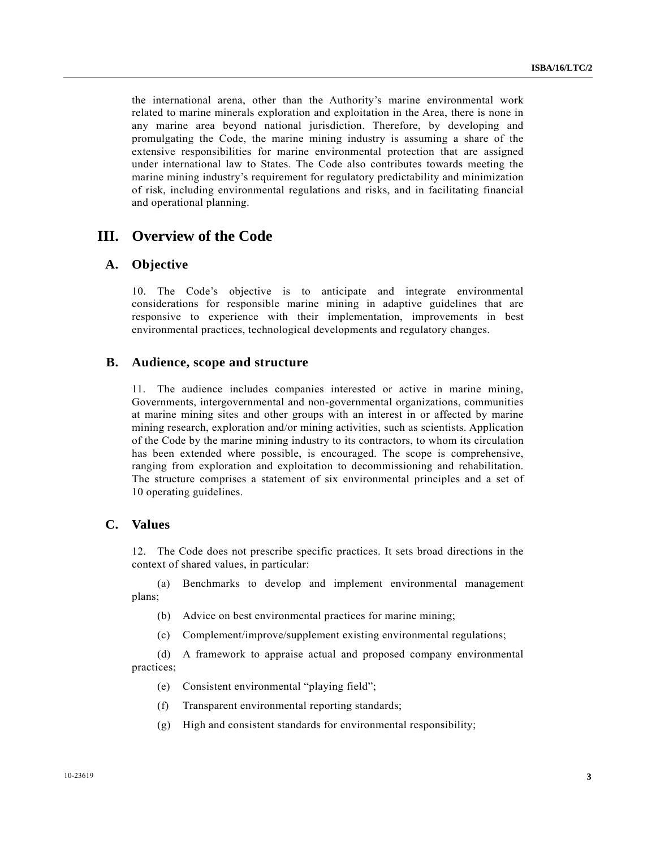the international arena, other than the Authority's marine environmental work related to marine minerals exploration and exploitation in the Area, there is none in any marine area beyond national jurisdiction. Therefore, by developing and promulgating the Code, the marine mining industry is assuming a share of the extensive responsibilities for marine environmental protection that are assigned under international law to States. The Code also contributes towards meeting the marine mining industry's requirement for regulatory predictability and minimization of risk, including environmental regulations and risks, and in facilitating financial and operational planning.

### **III. Overview of the Code**

#### **A. Objective**

10. The Code's objective is to anticipate and integrate environmental considerations for responsible marine mining in adaptive guidelines that are responsive to experience with their implementation, improvements in best environmental practices, technological developments and regulatory changes.

#### **B. Audience, scope and structure**

11. The audience includes companies interested or active in marine mining, Governments, intergovernmental and non-governmental organizations, communities at marine mining sites and other groups with an interest in or affected by marine mining research, exploration and/or mining activities, such as scientists. Application of the Code by the marine mining industry to its contractors, to whom its circulation has been extended where possible, is encouraged. The scope is comprehensive, ranging from exploration and exploitation to decommissioning and rehabilitation. The structure comprises a statement of six environmental principles and a set of 10 operating guidelines.

### **C. Values**

12. The Code does not prescribe specific practices. It sets broad directions in the context of shared values, in particular:

 (a) Benchmarks to develop and implement environmental management plans;

- (b) Advice on best environmental practices for marine mining;
- (c) Complement/improve/supplement existing environmental regulations;

 (d) A framework to appraise actual and proposed company environmental practices;

- (e) Consistent environmental "playing field";
- (f) Transparent environmental reporting standards;
- (g) High and consistent standards for environmental responsibility;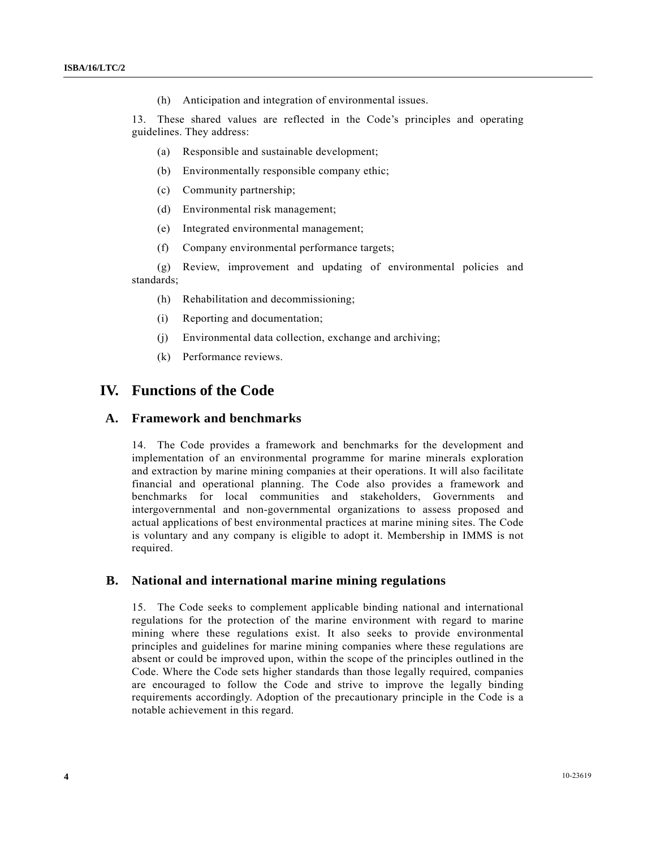(h) Anticipation and integration of environmental issues.

13. These shared values are reflected in the Code's principles and operating guidelines. They address:

- (a) Responsible and sustainable development;
- (b) Environmentally responsible company ethic;
- (c) Community partnership;
- (d) Environmental risk management;
- (e) Integrated environmental management;
- (f) Company environmental performance targets;

 (g) Review, improvement and updating of environmental policies and standards;

- (h) Rehabilitation and decommissioning;
- (i) Reporting and documentation;
- (j) Environmental data collection, exchange and archiving;
- (k) Performance reviews.

### **IV. Functions of the Code**

#### **A. Framework and benchmarks**

14. The Code provides a framework and benchmarks for the development and implementation of an environmental programme for marine minerals exploration and extraction by marine mining companies at their operations. It will also facilitate financial and operational planning. The Code also provides a framework and benchmarks for local communities and stakeholders, Governments and intergovernmental and non-governmental organizations to assess proposed and actual applications of best environmental practices at marine mining sites. The Code is voluntary and any company is eligible to adopt it. Membership in IMMS is not required.

#### **B. National and international marine mining regulations**

15. The Code seeks to complement applicable binding national and international regulations for the protection of the marine environment with regard to marine mining where these regulations exist. It also seeks to provide environmental principles and guidelines for marine mining companies where these regulations are absent or could be improved upon, within the scope of the principles outlined in the Code. Where the Code sets higher standards than those legally required, companies are encouraged to follow the Code and strive to improve the legally binding requirements accordingly. Adoption of the precautionary principle in the Code is a notable achievement in this regard.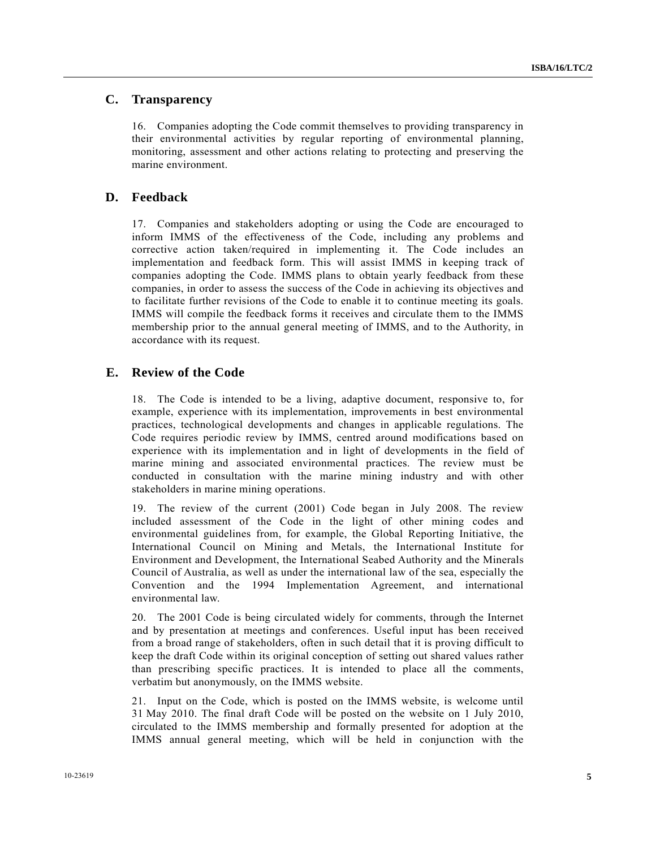### **C. Transparency**

16. Companies adopting the Code commit themselves to providing transparency in their environmental activities by regular reporting of environmental planning, monitoring, assessment and other actions relating to protecting and preserving the marine environment.

#### **D. Feedback**

17. Companies and stakeholders adopting or using the Code are encouraged to inform IMMS of the effectiveness of the Code, including any problems and corrective action taken/required in implementing it. The Code includes an implementation and feedback form. This will assist IMMS in keeping track of companies adopting the Code. IMMS plans to obtain yearly feedback from these companies, in order to assess the success of the Code in achieving its objectives and to facilitate further revisions of the Code to enable it to continue meeting its goals. IMMS will compile the feedback forms it receives and circulate them to the IMMS membership prior to the annual general meeting of IMMS, and to the Authority, in accordance with its request.

#### **E. Review of the Code**

18. The Code is intended to be a living, adaptive document, responsive to, for example, experience with its implementation, improvements in best environmental practices, technological developments and changes in applicable regulations. The Code requires periodic review by IMMS, centred around modifications based on experience with its implementation and in light of developments in the field of marine mining and associated environmental practices. The review must be conducted in consultation with the marine mining industry and with other stakeholders in marine mining operations.

19. The review of the current (2001) Code began in July 2008. The review included assessment of the Code in the light of other mining codes and environmental guidelines from, for example, the Global Reporting Initiative, the International Council on Mining and Metals, the International Institute for Environment and Development, the International Seabed Authority and the Minerals Council of Australia, as well as under the international law of the sea, especially the Convention and the 1994 Implementation Agreement, and international environmental law.

20. The 2001 Code is being circulated widely for comments, through the Internet and by presentation at meetings and conferences. Useful input has been received from a broad range of stakeholders, often in such detail that it is proving difficult to keep the draft Code within its original conception of setting out shared values rather than prescribing specific practices. It is intended to place all the comments, verbatim but anonymously, on the IMMS website.

21. Input on the Code, which is posted on the IMMS website, is welcome until 31 May 2010. The final draft Code will be posted on the website on 1 July 2010, circulated to the IMMS membership and formally presented for adoption at the IMMS annual general meeting, which will be held in conjunction with the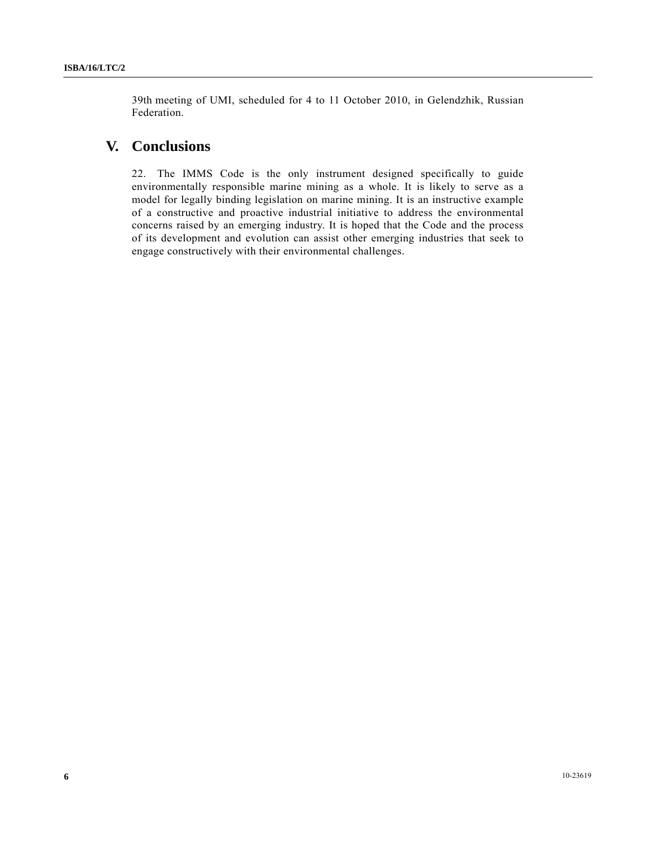39th meeting of UMI, scheduled for 4 to 11 October 2010, in Gelendzhik, Russian Federation.

## **V. Conclusions**

22. The IMMS Code is the only instrument designed specifically to guide environmentally responsible marine mining as a whole. It is likely to serve as a model for legally binding legislation on marine mining. It is an instructive example of a constructive and proactive industrial initiative to address the environmental concerns raised by an emerging industry. It is hoped that the Code and the process of its development and evolution can assist other emerging industries that seek to engage constructively with their environmental challenges.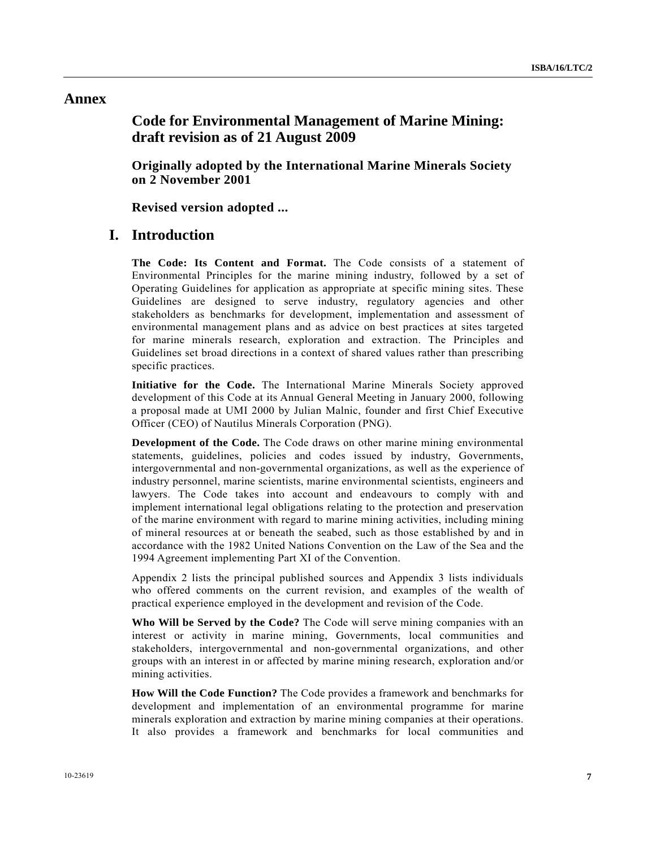### **Annex**

# **Code for Environmental Management of Marine Mining: draft revision as of 21 August 2009**

 **Originally adopted by the International Marine Minerals Society on 2 November 2001** 

 **Revised version adopted ...** 

### **I. Introduction**

**The Code: Its Content and Format.** The Code consists of a statement of Environmental Principles for the marine mining industry, followed by a set of Operating Guidelines for application as appropriate at specific mining sites. These Guidelines are designed to serve industry, regulatory agencies and other stakeholders as benchmarks for development, implementation and assessment of environmental management plans and as advice on best practices at sites targeted for marine minerals research, exploration and extraction. The Principles and Guidelines set broad directions in a context of shared values rather than prescribing specific practices.

**Initiative for the Code.** The International Marine Minerals Society approved development of this Code at its Annual General Meeting in January 2000, following a proposal made at UMI 2000 by Julian Malnic, founder and first Chief Executive Officer (CEO) of Nautilus Minerals Corporation (PNG).

**Development of the Code.** The Code draws on other marine mining environmental statements, guidelines, policies and codes issued by industry, Governments, intergovernmental and non-governmental organizations, as well as the experience of industry personnel, marine scientists, marine environmental scientists, engineers and lawyers. The Code takes into account and endeavours to comply with and implement international legal obligations relating to the protection and preservation of the marine environment with regard to marine mining activities, including mining of mineral resources at or beneath the seabed, such as those established by and in accordance with the 1982 United Nations Convention on the Law of the Sea and the 1994 Agreement implementing Part XI of the Convention.

Appendix 2 lists the principal published sources and Appendix 3 lists individuals who offered comments on the current revision, and examples of the wealth of practical experience employed in the development and revision of the Code.

**Who Will be Served by the Code?** The Code will serve mining companies with an interest or activity in marine mining, Governments, local communities and stakeholders, intergovernmental and non-governmental organizations, and other groups with an interest in or affected by marine mining research, exploration and/or mining activities.

**How Will the Code Function?** The Code provides a framework and benchmarks for development and implementation of an environmental programme for marine minerals exploration and extraction by marine mining companies at their operations. It also provides a framework and benchmarks for local communities and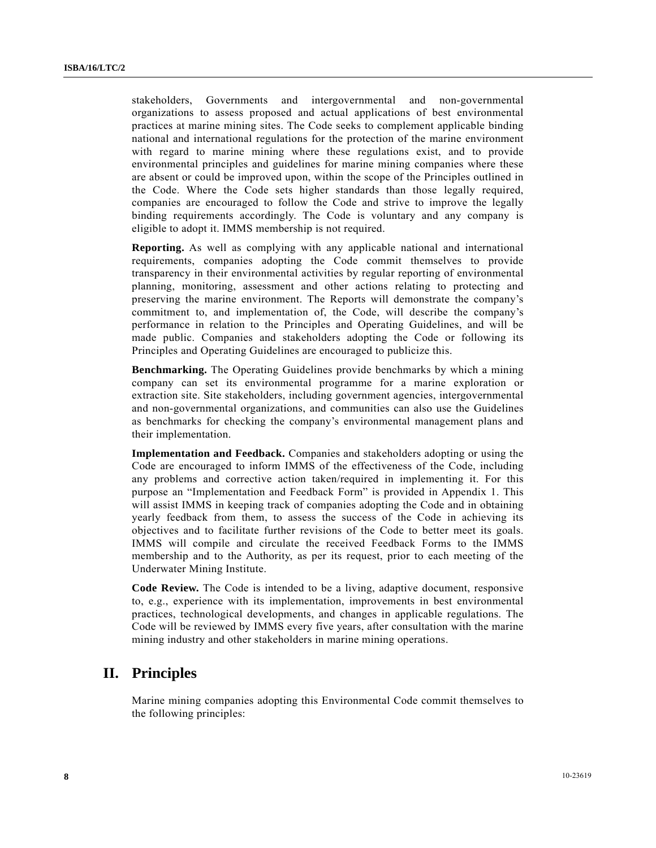stakeholders, Governments and intergovernmental and non-governmental organizations to assess proposed and actual applications of best environmental practices at marine mining sites. The Code seeks to complement applicable binding national and international regulations for the protection of the marine environment with regard to marine mining where these regulations exist, and to provide environmental principles and guidelines for marine mining companies where these are absent or could be improved upon, within the scope of the Principles outlined in the Code. Where the Code sets higher standards than those legally required, companies are encouraged to follow the Code and strive to improve the legally binding requirements accordingly. The Code is voluntary and any company is eligible to adopt it. IMMS membership is not required.

**Reporting.** As well as complying with any applicable national and international requirements, companies adopting the Code commit themselves to provide transparency in their environmental activities by regular reporting of environmental planning, monitoring, assessment and other actions relating to protecting and preserving the marine environment. The Reports will demonstrate the company's commitment to, and implementation of, the Code, will describe the company's performance in relation to the Principles and Operating Guidelines, and will be made public. Companies and stakeholders adopting the Code or following its Principles and Operating Guidelines are encouraged to publicize this.

**Benchmarking.** The Operating Guidelines provide benchmarks by which a mining company can set its environmental programme for a marine exploration or extraction site. Site stakeholders, including government agencies, intergovernmental and non-governmental organizations, and communities can also use the Guidelines as benchmarks for checking the company's environmental management plans and their implementation.

**Implementation and Feedback.** Companies and stakeholders adopting or using the Code are encouraged to inform IMMS of the effectiveness of the Code, including any problems and corrective action taken/required in implementing it. For this purpose an "Implementation and Feedback Form" is provided in Appendix 1. This will assist IMMS in keeping track of companies adopting the Code and in obtaining yearly feedback from them, to assess the success of the Code in achieving its objectives and to facilitate further revisions of the Code to better meet its goals. IMMS will compile and circulate the received Feedback Forms to the IMMS membership and to the Authority, as per its request, prior to each meeting of the Underwater Mining Institute.

**Code Review.** The Code is intended to be a living, adaptive document, responsive to, e.g., experience with its implementation, improvements in best environmental practices, technological developments, and changes in applicable regulations. The Code will be reviewed by IMMS every five years, after consultation with the marine mining industry and other stakeholders in marine mining operations.

## **II. Principles**

Marine mining companies adopting this Environmental Code commit themselves to the following principles: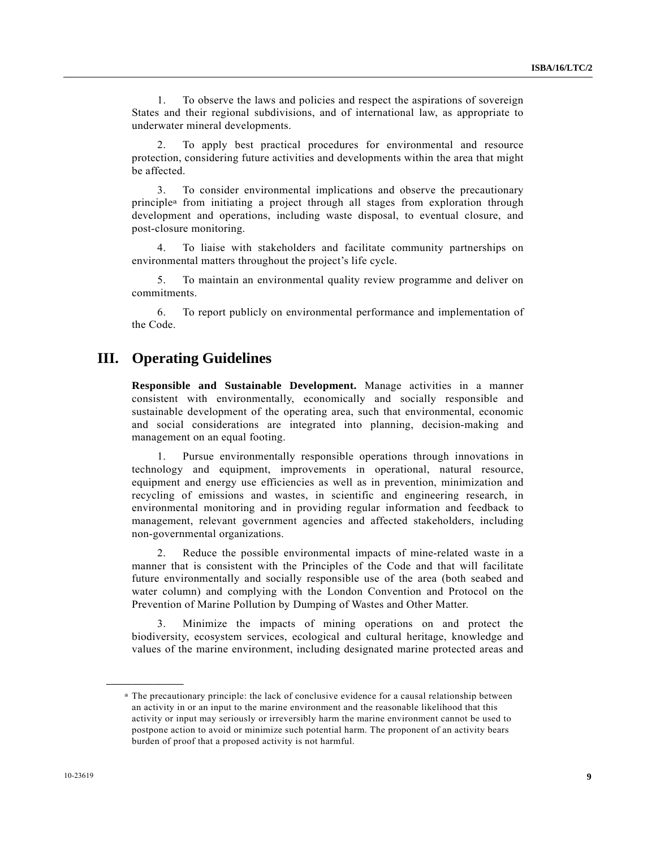1. To observe the laws and policies and respect the aspirations of sovereign States and their regional subdivisions, and of international law, as appropriate to underwater mineral developments.

 2. To apply best practical procedures for environmental and resource protection, considering future activities and developments within the area that might be affected.

 3. To consider environmental implications and observe the precautionary principlea from initiating a project through all stages from exploration through development and operations, including waste disposal, to eventual closure, and post-closure monitoring.

 4. To liaise with stakeholders and facilitate community partnerships on environmental matters throughout the project's life cycle.

 5. To maintain an environmental quality review programme and deliver on commitments.

 6. To report publicly on environmental performance and implementation of the Code.

## **III. Operating Guidelines**

**Responsible and Sustainable Development.** Manage activities in a manner consistent with environmentally, economically and socially responsible and sustainable development of the operating area, such that environmental, economic and social considerations are integrated into planning, decision-making and management on an equal footing.

 1. Pursue environmentally responsible operations through innovations in technology and equipment, improvements in operational, natural resource, equipment and energy use efficiencies as well as in prevention, minimization and recycling of emissions and wastes, in scientific and engineering research, in environmental monitoring and in providing regular information and feedback to management, relevant government agencies and affected stakeholders, including non-governmental organizations.

 2. Reduce the possible environmental impacts of mine-related waste in a manner that is consistent with the Principles of the Code and that will facilitate future environmentally and socially responsible use of the area (both seabed and water column) and complying with the London Convention and Protocol on the Prevention of Marine Pollution by Dumping of Wastes and Other Matter.

 3. Minimize the impacts of mining operations on and protect the biodiversity, ecosystem services, ecological and cultural heritage, knowledge and values of the marine environment, including designated marine protected areas and

**\_\_\_\_\_\_\_\_\_\_\_\_\_\_\_\_\_\_** 

a The precautionary principle: the lack of conclusive evidence for a causal relationship between an activity in or an input to the marine environment and the reasonable likelihood that this activity or input may seriously or irreversibly harm the marine environment cannot be used to postpone action to avoid or minimize such potential harm. The proponent of an activity bears burden of proof that a proposed activity is not harmful.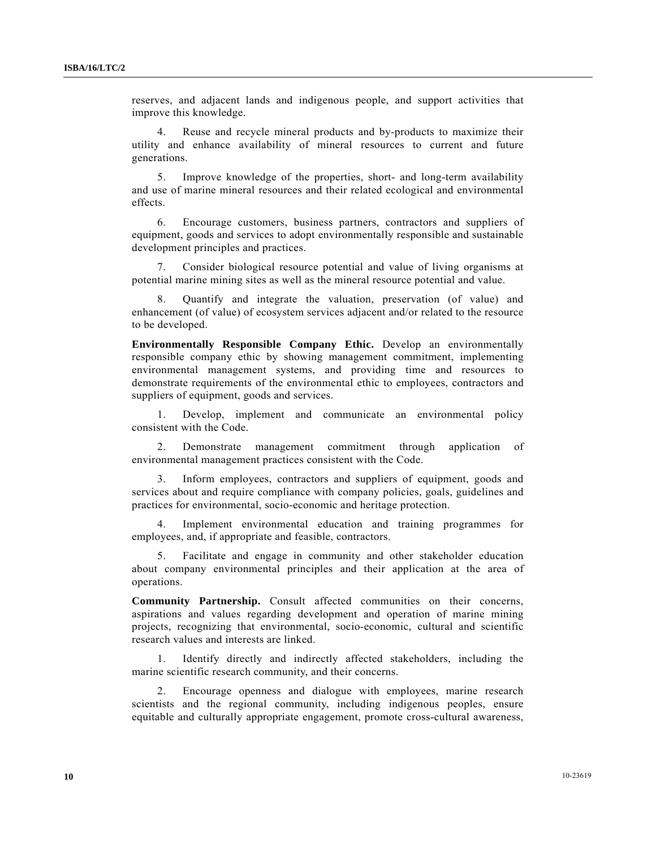reserves, and adjacent lands and indigenous people, and support activities that improve this knowledge.

 4. Reuse and recycle mineral products and by-products to maximize their utility and enhance availability of mineral resources to current and future generations.

 5. Improve knowledge of the properties, short- and long-term availability and use of marine mineral resources and their related ecological and environmental effects.

 6. Encourage customers, business partners, contractors and suppliers of equipment, goods and services to adopt environmentally responsible and sustainable development principles and practices.

 7. Consider biological resource potential and value of living organisms at potential marine mining sites as well as the mineral resource potential and value.

 8. Quantify and integrate the valuation, preservation (of value) and enhancement (of value) of ecosystem services adjacent and/or related to the resource to be developed.

**Environmentally Responsible Company Ethic.** Develop an environmentally responsible company ethic by showing management commitment, implementing environmental management systems, and providing time and resources to demonstrate requirements of the environmental ethic to employees, contractors and suppliers of equipment, goods and services.

 1. Develop, implement and communicate an environmental policy consistent with the Code.

 2. Demonstrate management commitment through application of environmental management practices consistent with the Code.

 3. Inform employees, contractors and suppliers of equipment, goods and services about and require compliance with company policies, goals, guidelines and practices for environmental, socio-economic and heritage protection.

 4. Implement environmental education and training programmes for employees, and, if appropriate and feasible, contractors.

 5. Facilitate and engage in community and other stakeholder education about company environmental principles and their application at the area of operations.

**Community Partnership.** Consult affected communities on their concerns, aspirations and values regarding development and operation of marine mining projects, recognizing that environmental, socio-economic, cultural and scientific research values and interests are linked.

 1. Identify directly and indirectly affected stakeholders, including the marine scientific research community, and their concerns.

 2. Encourage openness and dialogue with employees, marine research scientists and the regional community, including indigenous peoples, ensure equitable and culturally appropriate engagement, promote cross-cultural awareness,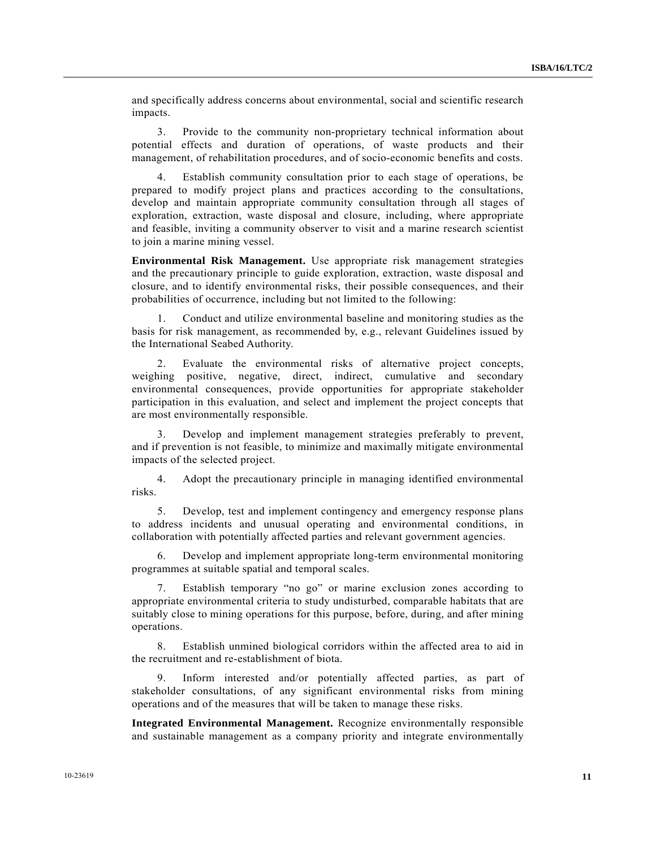and specifically address concerns about environmental, social and scientific research impacts.

 3. Provide to the community non-proprietary technical information about potential effects and duration of operations, of waste products and their management, of rehabilitation procedures, and of socio-economic benefits and costs.

Establish community consultation prior to each stage of operations, be prepared to modify project plans and practices according to the consultations, develop and maintain appropriate community consultation through all stages of exploration, extraction, waste disposal and closure, including, where appropriate and feasible, inviting a community observer to visit and a marine research scientist to join a marine mining vessel.

**Environmental Risk Management.** Use appropriate risk management strategies and the precautionary principle to guide exploration, extraction, waste disposal and closure, and to identify environmental risks, their possible consequences, and their probabilities of occurrence, including but not limited to the following:

 1. Conduct and utilize environmental baseline and monitoring studies as the basis for risk management, as recommended by, e.g., relevant Guidelines issued by the International Seabed Authority.

 2. Evaluate the environmental risks of alternative project concepts, weighing positive, negative, direct, indirect, cumulative and secondary environmental consequences, provide opportunities for appropriate stakeholder participation in this evaluation, and select and implement the project concepts that are most environmentally responsible.

 3. Develop and implement management strategies preferably to prevent, and if prevention is not feasible, to minimize and maximally mitigate environmental impacts of the selected project.

 4. Adopt the precautionary principle in managing identified environmental risks.

 5. Develop, test and implement contingency and emergency response plans to address incidents and unusual operating and environmental conditions, in collaboration with potentially affected parties and relevant government agencies.

 6. Develop and implement appropriate long-term environmental monitoring programmes at suitable spatial and temporal scales.

 7. Establish temporary "no go" or marine exclusion zones according to appropriate environmental criteria to study undisturbed, comparable habitats that are suitably close to mining operations for this purpose, before, during, and after mining operations.

 8. Establish unmined biological corridors within the affected area to aid in the recruitment and re-establishment of biota.

 9. Inform interested and/or potentially affected parties, as part of stakeholder consultations, of any significant environmental risks from mining operations and of the measures that will be taken to manage these risks.

**Integrated Environmental Management.** Recognize environmentally responsible and sustainable management as a company priority and integrate environmentally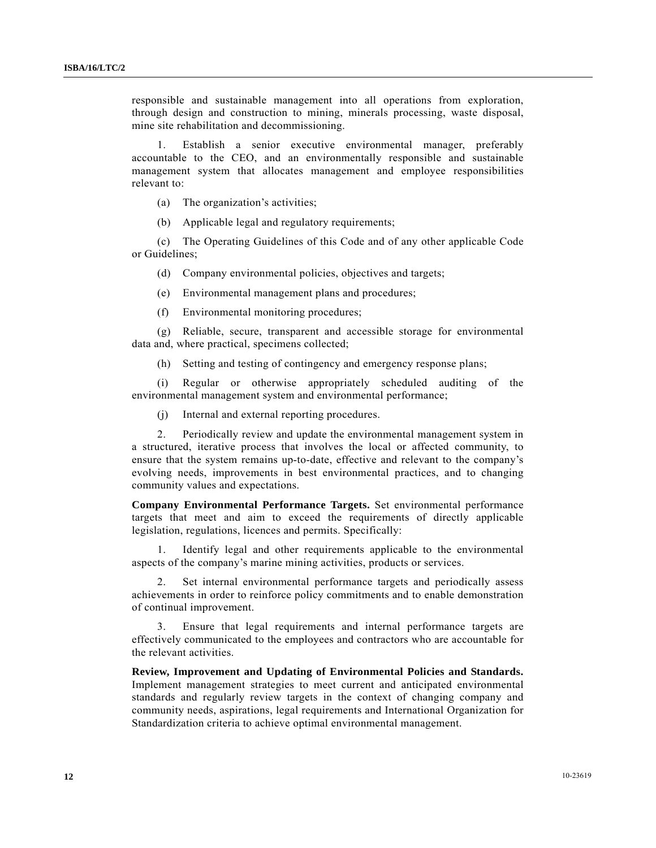responsible and sustainable management into all operations from exploration, through design and construction to mining, minerals processing, waste disposal, mine site rehabilitation and decommissioning.

 1. Establish a senior executive environmental manager, preferably accountable to the CEO, and an environmentally responsible and sustainable management system that allocates management and employee responsibilities relevant to:

(a) The organization's activities;

(b) Applicable legal and regulatory requirements;

 (c) The Operating Guidelines of this Code and of any other applicable Code or Guidelines;

(d) Company environmental policies, objectives and targets;

(e) Environmental management plans and procedures;

(f) Environmental monitoring procedures;

 (g) Reliable, secure, transparent and accessible storage for environmental data and, where practical, specimens collected;

(h) Setting and testing of contingency and emergency response plans;

 (i) Regular or otherwise appropriately scheduled auditing of the environmental management system and environmental performance;

(j) Internal and external reporting procedures.

 2. Periodically review and update the environmental management system in a structured, iterative process that involves the local or affected community, to ensure that the system remains up-to-date, effective and relevant to the company's evolving needs, improvements in best environmental practices, and to changing community values and expectations.

**Company Environmental Performance Targets.** Set environmental performance targets that meet and aim to exceed the requirements of directly applicable legislation, regulations, licences and permits. Specifically:

 1. Identify legal and other requirements applicable to the environmental aspects of the company's marine mining activities, products or services.

 2. Set internal environmental performance targets and periodically assess achievements in order to reinforce policy commitments and to enable demonstration of continual improvement.

Ensure that legal requirements and internal performance targets are effectively communicated to the employees and contractors who are accountable for the relevant activities.

**Review, Improvement and Updating of Environmental Policies and Standards.** Implement management strategies to meet current and anticipated environmental standards and regularly review targets in the context of changing company and community needs, aspirations, legal requirements and International Organization for Standardization criteria to achieve optimal environmental management.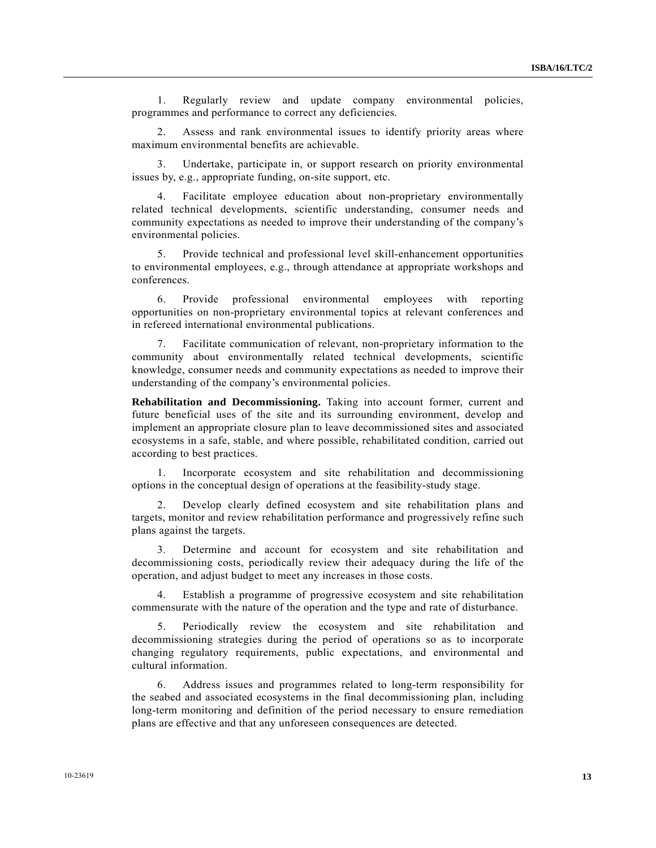1. Regularly review and update company environmental policies, programmes and performance to correct any deficiencies.

 2. Assess and rank environmental issues to identify priority areas where maximum environmental benefits are achievable.

 3. Undertake, participate in, or support research on priority environmental issues by, e.g., appropriate funding, on-site support, etc.

 4. Facilitate employee education about non-proprietary environmentally related technical developments, scientific understanding, consumer needs and community expectations as needed to improve their understanding of the company's environmental policies.

 5. Provide technical and professional level skill-enhancement opportunities to environmental employees, e.g., through attendance at appropriate workshops and conferences.

 6. Provide professional environmental employees with reporting opportunities on non-proprietary environmental topics at relevant conferences and in refereed international environmental publications.

 7. Facilitate communication of relevant, non-proprietary information to the community about environmentally related technical developments, scientific knowledge, consumer needs and community expectations as needed to improve their understanding of the company's environmental policies.

**Rehabilitation and Decommissioning.** Taking into account former, current and future beneficial uses of the site and its surrounding environment, develop and implement an appropriate closure plan to leave decommissioned sites and associated ecosystems in a safe, stable, and where possible, rehabilitated condition, carried out according to best practices.

 1. Incorporate ecosystem and site rehabilitation and decommissioning options in the conceptual design of operations at the feasibility-study stage.

 2. Develop clearly defined ecosystem and site rehabilitation plans and targets, monitor and review rehabilitation performance and progressively refine such plans against the targets.

 3. Determine and account for ecosystem and site rehabilitation and decommissioning costs, periodically review their adequacy during the life of the operation, and adjust budget to meet any increases in those costs.

 4. Establish a programme of progressive ecosystem and site rehabilitation commensurate with the nature of the operation and the type and rate of disturbance.

 5. Periodically review the ecosystem and site rehabilitation and decommissioning strategies during the period of operations so as to incorporate changing regulatory requirements, public expectations, and environmental and cultural information.

 6. Address issues and programmes related to long-term responsibility for the seabed and associated ecosystems in the final decommissioning plan, including long-term monitoring and definition of the period necessary to ensure remediation plans are effective and that any unforeseen consequences are detected.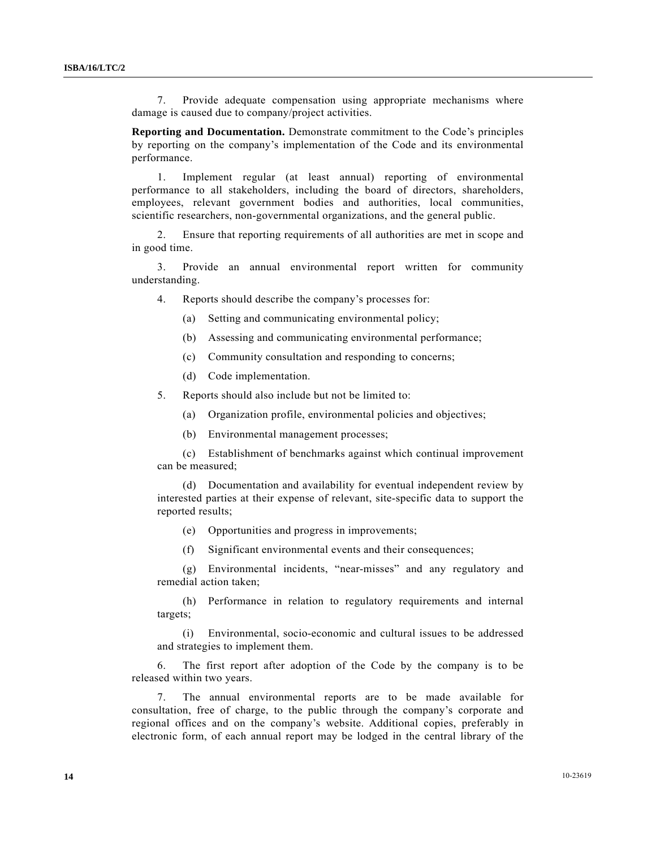7. Provide adequate compensation using appropriate mechanisms where damage is caused due to company/project activities.

**Reporting and Documentation.** Demonstrate commitment to the Code's principles by reporting on the company's implementation of the Code and its environmental performance.

 1. Implement regular (at least annual) reporting of environmental performance to all stakeholders, including the board of directors, shareholders, employees, relevant government bodies and authorities, local communities, scientific researchers, non-governmental organizations, and the general public.

 2. Ensure that reporting requirements of all authorities are met in scope and in good time.

 3. Provide an annual environmental report written for community understanding.

4. Reports should describe the company's processes for:

- (a) Setting and communicating environmental policy;
- (b) Assessing and communicating environmental performance;
- (c) Community consultation and responding to concerns;
- (d) Code implementation.

5. Reports should also include but not be limited to:

- (a) Organization profile, environmental policies and objectives;
- (b) Environmental management processes;

 (c) Establishment of benchmarks against which continual improvement can be measured;

 (d) Documentation and availability for eventual independent review by interested parties at their expense of relevant, site-specific data to support the reported results;

(e) Opportunities and progress in improvements;

(f) Significant environmental events and their consequences;

 (g) Environmental incidents, "near-misses" and any regulatory and remedial action taken;

 (h) Performance in relation to regulatory requirements and internal targets;

 (i) Environmental, socio-economic and cultural issues to be addressed and strategies to implement them.

 6. The first report after adoption of the Code by the company is to be released within two years.

 7. The annual environmental reports are to be made available for consultation, free of charge, to the public through the company's corporate and regional offices and on the company's website. Additional copies, preferably in electronic form, of each annual report may be lodged in the central library of the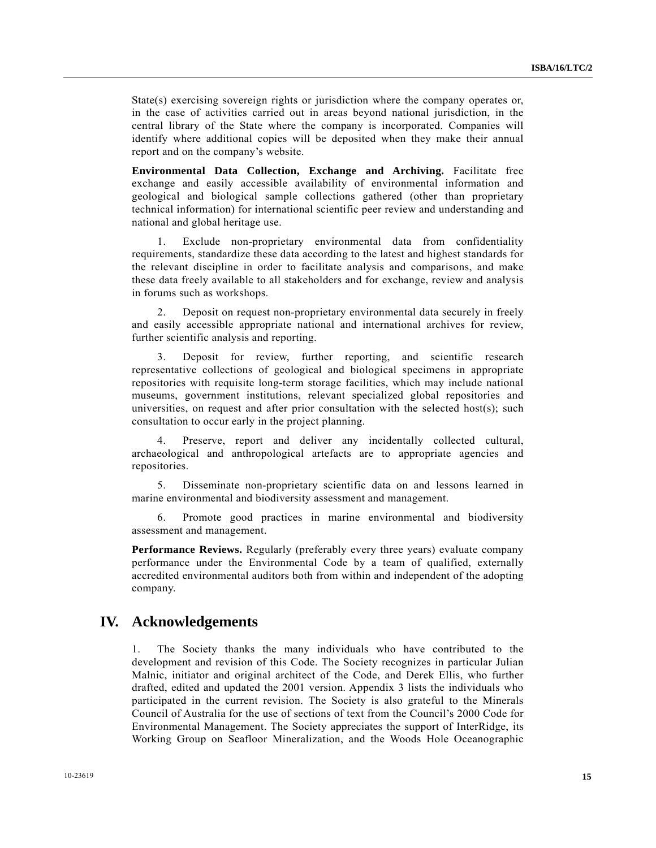State(s) exercising sovereign rights or jurisdiction where the company operates or, in the case of activities carried out in areas beyond national jurisdiction, in the central library of the State where the company is incorporated. Companies will identify where additional copies will be deposited when they make their annual report and on the company's website.

**Environmental Data Collection, Exchange and Archiving.** Facilitate free exchange and easily accessible availability of environmental information and geological and biological sample collections gathered (other than proprietary technical information) for international scientific peer review and understanding and national and global heritage use.

 1. Exclude non-proprietary environmental data from confidentiality requirements, standardize these data according to the latest and highest standards for the relevant discipline in order to facilitate analysis and comparisons, and make these data freely available to all stakeholders and for exchange, review and analysis in forums such as workshops.

 2. Deposit on request non-proprietary environmental data securely in freely and easily accessible appropriate national and international archives for review, further scientific analysis and reporting.

 3. Deposit for review, further reporting, and scientific research representative collections of geological and biological specimens in appropriate repositories with requisite long-term storage facilities, which may include national museums, government institutions, relevant specialized global repositories and universities, on request and after prior consultation with the selected host $(s)$ ; such consultation to occur early in the project planning.

 4. Preserve, report and deliver any incidentally collected cultural, archaeological and anthropological artefacts are to appropriate agencies and repositories.

 5. Disseminate non-proprietary scientific data on and lessons learned in marine environmental and biodiversity assessment and management.

 6. Promote good practices in marine environmental and biodiversity assessment and management.

**Performance Reviews.** Regularly (preferably every three years) evaluate company performance under the Environmental Code by a team of qualified, externally accredited environmental auditors both from within and independent of the adopting company.

### **IV. Acknowledgements**

1. The Society thanks the many individuals who have contributed to the development and revision of this Code. The Society recognizes in particular Julian Malnic, initiator and original architect of the Code, and Derek Ellis, who further drafted, edited and updated the 2001 version. Appendix 3 lists the individuals who participated in the current revision. The Society is also grateful to the Minerals Council of Australia for the use of sections of text from the Council's 2000 Code for Environmental Management. The Society appreciates the support of InterRidge, its Working Group on Seafloor Mineralization, and the Woods Hole Oceanographic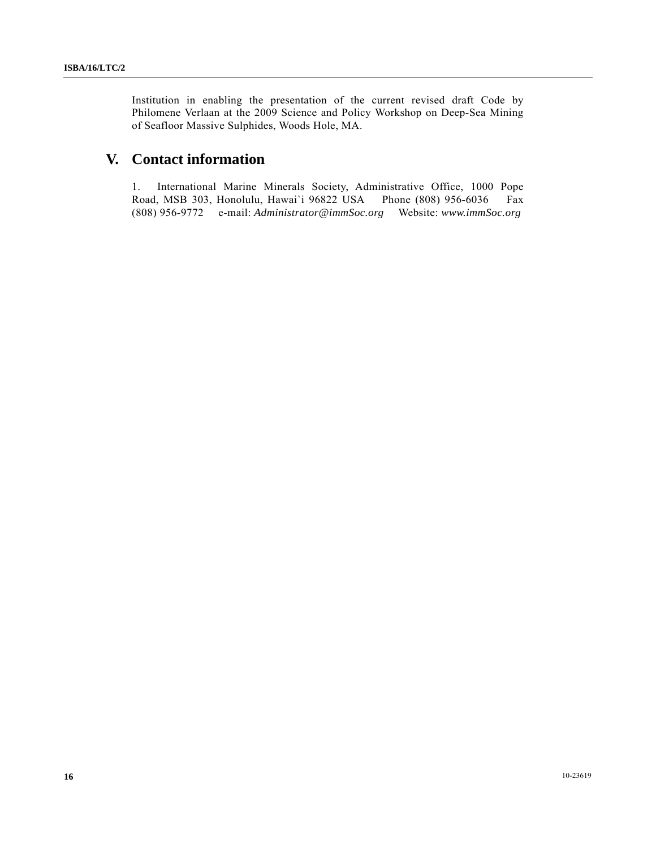Institution in enabling the presentation of the current revised draft Code by Philomene Verlaan at the 2009 Science and Policy Workshop on Deep-Sea Mining of Seafloor Massive Sulphides, Woods Hole, MA.

# **V. Contact information**

1. International Marine Minerals Society, Administrative Office, 1000 Pope Road, MSB 303, Honolulu, Hawai`i 96822 USA Phone (808) 956-6036 Fax (808) 956-9772 e-mail: *Administrator@immSoc.org* Website: *www.immSoc.org*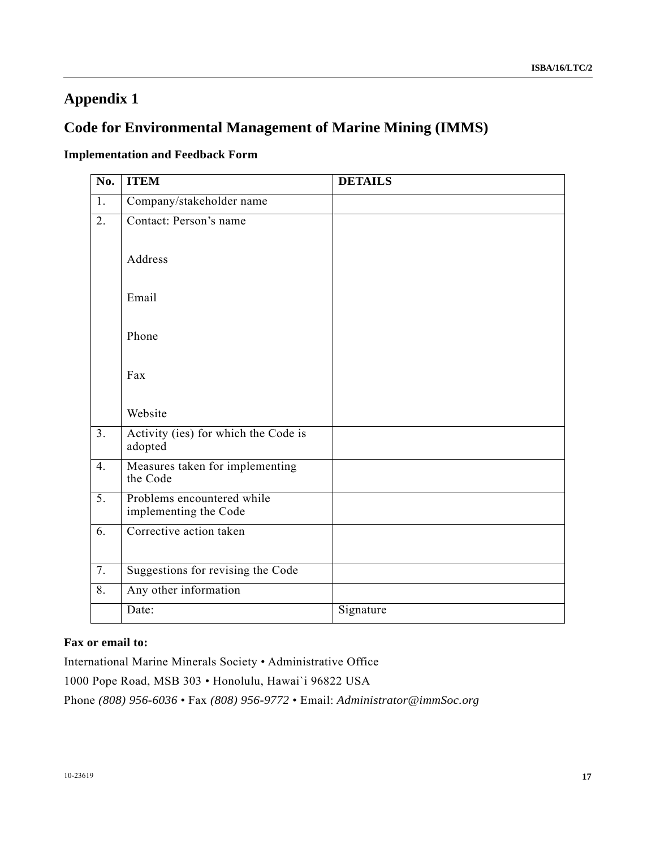# **Appendix 1**

# **Code for Environmental Management of Marine Mining (IMMS)**

## **Implementation and Feedback Form**

| $\overline{No.}$ | <b>ITEM</b>                                         | <b>DETAILS</b> |
|------------------|-----------------------------------------------------|----------------|
| $\overline{1}$ . | Company/stakeholder name                            |                |
| $\overline{2}$ . | Contact: Person's name                              |                |
|                  | Address                                             |                |
|                  | Email                                               |                |
|                  | Phone                                               |                |
|                  | Fax                                                 |                |
|                  | Website                                             |                |
| $\overline{3}$ . | Activity (ies) for which the Code is<br>adopted     |                |
| $\overline{4}$ . | Measures taken for implementing<br>the Code         |                |
| $\overline{5}$ . | Problems encountered while<br>implementing the Code |                |
| $\overline{6}$ . | Corrective action taken                             |                |
| 7.               | Suggestions for revising the Code                   |                |
| 8.               | Any other information                               |                |
|                  | Date:                                               | Signature      |

### **Fax or email to:**

International Marine Minerals Society • Administrative Office

1000 Pope Road, MSB 303 • Honolulu, Hawai`i 96822 USA

Phone *(808) 956-6036* • Fax *(808) 956-9772* • Email: *Administrator@immSoc.org*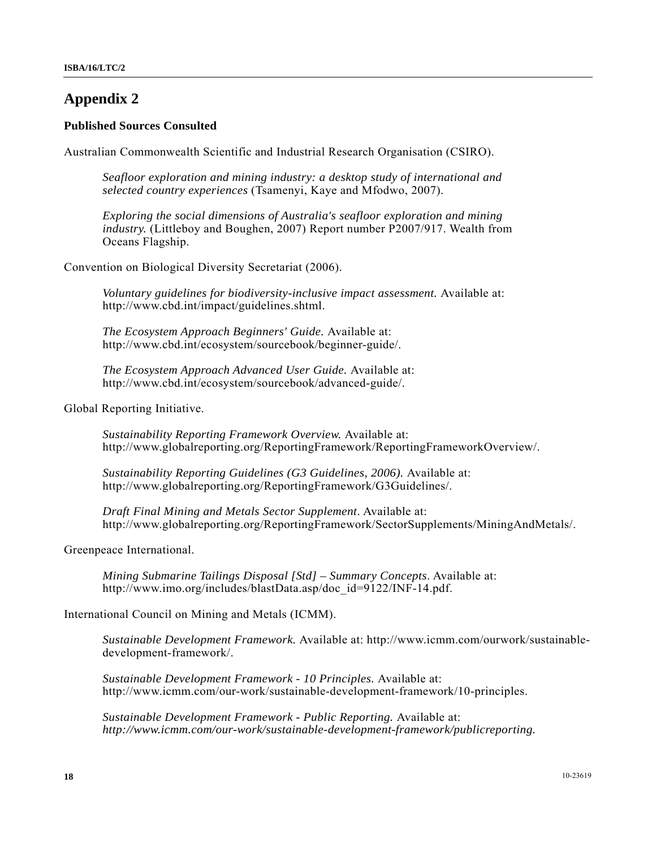# **Appendix 2**

### **Published Sources Consulted**

Australian Commonwealth Scientific and Industrial Research Organisation (CSIRO).

*Seafloor exploration and mining industry: a desktop study of international and selected country experiences* (Tsamenyi, Kaye and Mfodwo, 2007).

*Exploring the social dimensions of Australia's seafloor exploration and mining industry.* (Littleboy and Boughen, 2007) Report number P2007/917. Wealth from Oceans Flagship.

Convention on Biological Diversity Secretariat (2006).

*Voluntary guidelines for biodiversity-inclusive impact assessment.* Available at: http://www.cbd.int/impact/guidelines.shtml.

*The Ecosystem Approach Beginners' Guide.* Available at: http://www.cbd.int/ecosystem/sourcebook/beginner-guide/.

*The Ecosystem Approach Advanced User Guide.* Available at: http://www.cbd.int/ecosystem/sourcebook/advanced-guide/.

Global Reporting Initiative.

*Sustainability Reporting Framework Overview.* Available at: http://www.globalreporting.org/ReportingFramework/ReportingFrameworkOverview/.

*Sustainability Reporting Guidelines (G3 Guidelines, 2006).* Available at: http://www.globalreporting.org/ReportingFramework/G3Guidelines/.

*Draft Final Mining and Metals Sector Supplement*. Available at: http://www.globalreporting.org/ReportingFramework/SectorSupplements/MiningAndMetals/.

Greenpeace International.

*Mining Submarine Tailings Disposal [Std] – Summary Concepts*. Available at: http://www.imo.org/includes/blastData.asp/doc\_id=9122/INF-14.pdf.

#### International Council on Mining and Metals (ICMM).

*Sustainable Development Framework.* Available at: http://www.icmm.com/ourwork/sustainabledevelopment-framework/.

*Sustainable Development Framework - 10 Principles.* Available at: http://www.icmm.com/our-work/sustainable-development-framework/10-principles.

*Sustainable Development Framework - Public Reporting.* Available at: *http://www.icmm.com/our-work/sustainable-development-framework/publicreporting.*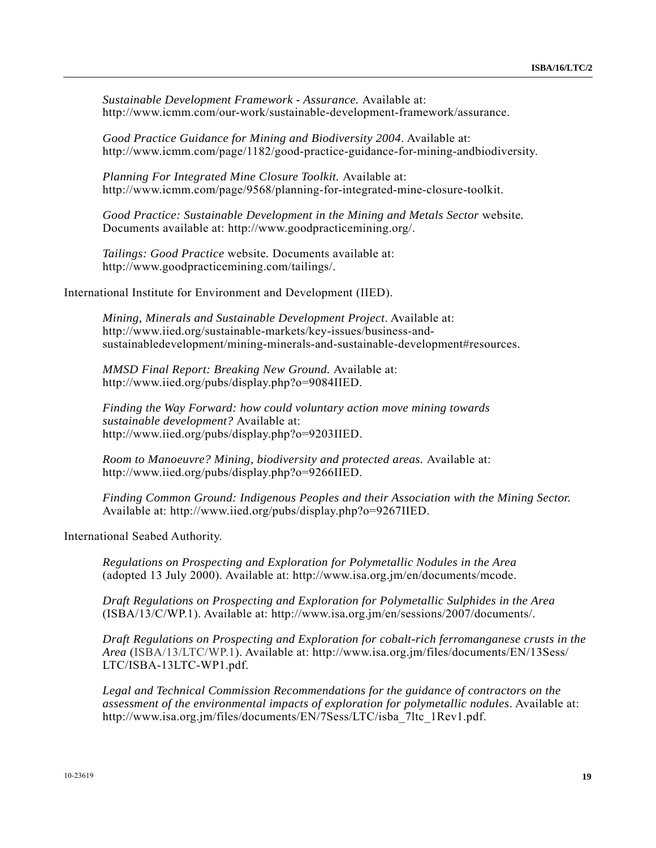*Sustainable Development Framework - Assurance.* Available at: http://www.icmm.com/our-work/sustainable-development-framework/assurance.

*Good Practice Guidance for Mining and Biodiversity 2004*. Available at: http://www.icmm.com/page/1182/good-practice-guidance-for-mining-andbiodiversity.

*Planning For Integrated Mine Closure Toolkit.* Available at: http://www.icmm.com/page/9568/planning-for-integrated-mine-closure-toolkit.

*Good Practice: Sustainable Development in the Mining and Metals Sector* website*.*  Documents available at: http://www.goodpracticemining.org/.

*Tailings: Good Practice* website*.* Documents available at: http://www.goodpracticemining.com/tailings/.

International Institute for Environment and Development (IIED).

*Mining, Minerals and Sustainable Development Project*. Available at: http://www.iied.org/sustainable-markets/key-issues/business-andsustainabledevelopment/mining-minerals-and-sustainable-development#resources.

*MMSD Final Report: Breaking New Ground.* Available at: http://www.iied.org/pubs/display.php?o=9084IIED.

*Finding the Way Forward: how could voluntary action move mining towards sustainable development?* Available at: http://www.iied.org/pubs/display.php?o=9203IIED.

*Room to Manoeuvre? Mining, biodiversity and protected areas.* Available at: http://www.iied.org/pubs/display.php?o=9266IIED.

*Finding Common Ground: Indigenous Peoples and their Association with the Mining Sector.*  Available at: http://www.iied.org/pubs/display.php?o=9267IIED.

International Seabed Authority.

*Regulations on Prospecting and Exploration for Polymetallic Nodules in the Area*  (adopted 13 July 2000). Available at: http://www.isa.org.jm/en/documents/mcode.

*Draft Regulations on Prospecting and Exploration for Polymetallic Sulphides in the Area*  (ISBA/13/C/WP.1). Available at: http://www.isa.org.jm/en/sessions/2007/documents/.

*Draft Regulations on Prospecting and Exploration for cobalt-rich ferromanganese crusts in the Area* (ISBA/13/LTC/WP.1). Available at: http://www.isa.org.jm/files/documents/EN/13Sess/ LTC/ISBA-13LTC-WP1.pdf.

*Legal and Technical Commission Recommendations for the guidance of contractors on the assessment of the environmental impacts of exploration for polymetallic nodules*. Available at: http://www.isa.org.jm/files/documents/EN/7Sess/LTC/isba\_7ltc\_1Rev1.pdf.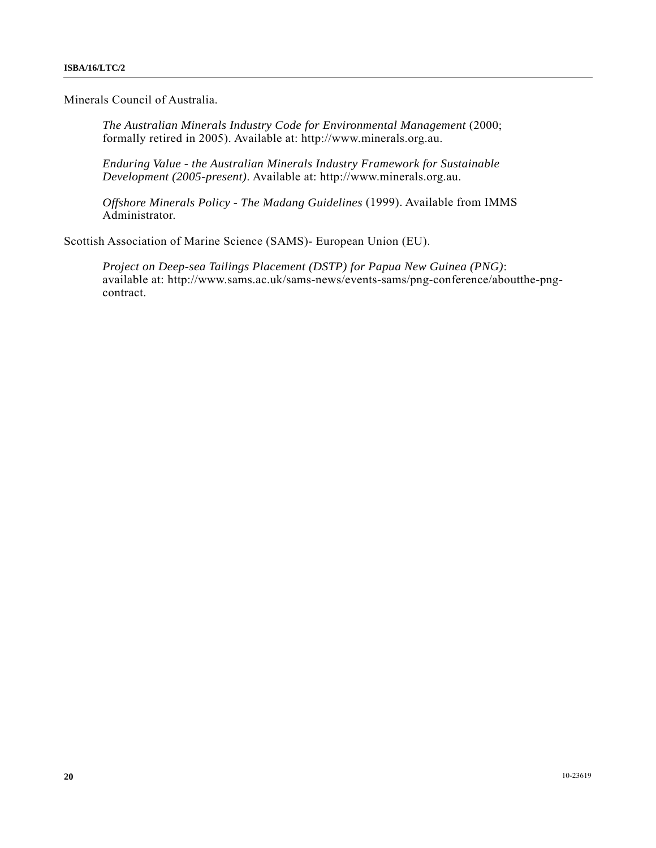Minerals Council of Australia.

*The Australian Minerals Industry Code for Environmental Management* (2000; formally retired in 2005). Available at: http://www.minerals.org.au.

*Enduring Value - the Australian Minerals Industry Framework for Sustainable Development (2005-present)*. Available at: http://www.minerals.org.au.

*Offshore Minerals Policy - The Madang Guidelines* (1999). Available from IMMS Administrator.

Scottish Association of Marine Science (SAMS)- European Union (EU).

*Project on Deep-sea Tailings Placement (DSTP) for Papua New Guinea (PNG)*: available at: http://www.sams.ac.uk/sams-news/events-sams/png-conference/aboutthe-pngcontract.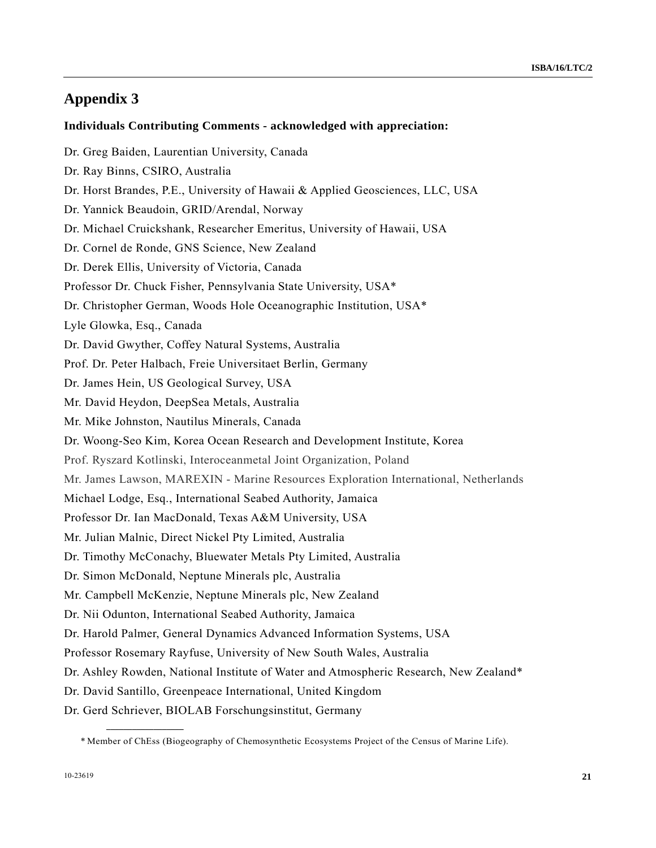# **Appendix 3**

### **Individuals Contributing Comments - acknowledged with appreciation:**

Dr. Greg Baiden, Laurentian University, Canada Dr. Ray Binns, CSIRO, Australia Dr. Horst Brandes, P.E., University of Hawaii & Applied Geosciences, LLC, USA Dr. Yannick Beaudoin, GRID/Arendal, Norway Dr. Michael Cruickshank, Researcher Emeritus, University of Hawaii, USA Dr. Cornel de Ronde, GNS Science, New Zealand Dr. Derek Ellis, University of Victoria, Canada Professor Dr. Chuck Fisher, Pennsylvania State University, USA\* Dr. Christopher German, Woods Hole Oceanographic Institution, USA\* Lyle Glowka, Esq., Canada Dr. David Gwyther, Coffey Natural Systems, Australia Prof. Dr. Peter Halbach, Freie Universitaet Berlin, Germany Dr. James Hein, US Geological Survey, USA Mr. David Heydon, DeepSea Metals, Australia Mr. Mike Johnston, Nautilus Minerals, Canada Dr. Woong-Seo Kim, Korea Ocean Research and Development Institute, Korea Prof. Ryszard Kotlinski, Interoceanmetal Joint Organization, Poland Mr. James Lawson, MAREXIN - Marine Resources Exploration International, Netherlands Michael Lodge, Esq., International Seabed Authority, Jamaica Professor Dr. Ian MacDonald, Texas A&M University, USA Mr. Julian Malnic, Direct Nickel Pty Limited, Australia Dr. Timothy McConachy, Bluewater Metals Pty Limited, Australia Dr. Simon McDonald, Neptune Minerals plc, Australia Mr. Campbell McKenzie, Neptune Minerals plc, New Zealand Dr. Nii Odunton, International Seabed Authority, Jamaica Dr. Harold Palmer, General Dynamics Advanced Information Systems, USA Professor Rosemary Rayfuse, University of New South Wales, Australia Dr. Ashley Rowden, National Institute of Water and Atmospheric Research, New Zealand\* Dr. David Santillo, Greenpeace International, United Kingdom Dr. Gerd Schriever, BIOLAB Forschungsinstitut, Germany

**\_\_\_\_\_\_\_\_\_\_\_\_\_\_\_\_\_\_** 

 <sup>\*</sup> Member of ChEss (Biogeography of Chemosynthetic Ecosystems Project of the Census of Marine Life).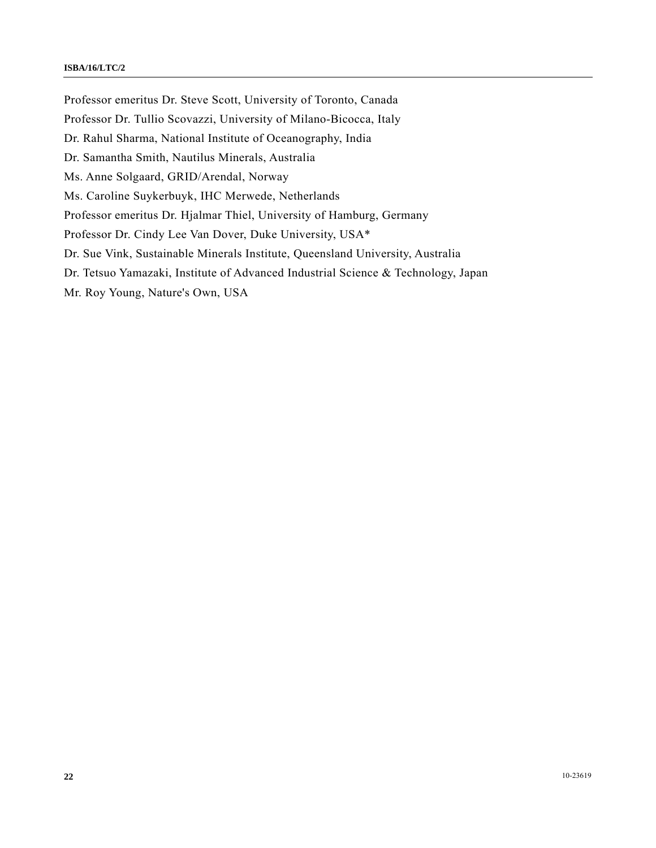#### **ISBA/16/LTC/2**

Professor emeritus Dr. Steve Scott, University of Toronto, Canada Professor Dr. Tullio Scovazzi, University of Milano-Bicocca, Italy Dr. Rahul Sharma, National Institute of Oceanography, India Dr. Samantha Smith, Nautilus Minerals, Australia Ms. Anne Solgaard, GRID/Arendal, Norway Ms. Caroline Suykerbuyk, IHC Merwede, Netherlands Professor emeritus Dr. Hjalmar Thiel, University of Hamburg, Germany Professor Dr. Cindy Lee Van Dover, Duke University, USA\* Dr. Sue Vink, Sustainable Minerals Institute, Queensland University, Australia Dr. Tetsuo Yamazaki, Institute of Advanced Industrial Science & Technology, Japan Mr. Roy Young, Nature's Own, USA